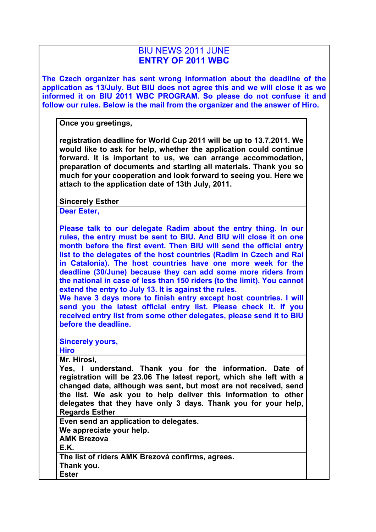## BIU NEWS 2011 JUNE **ENTRY OF 2011 WBC**

**The Czech organizer has sent wrong information about the deadline of the application as 13/July. But BIU does not agree this and we will close it as we informed it on BIU 2011 WBC PROGRAM. So please do not confuse it and follow our rules. Below is the mail from the organizer and the answer of Hiro.**

**Once you greetings,**

**registration deadline for World Cup 2011 will be up to 13.7.2011. We would like to ask for help, whether the application could continue forward. It is important to us, we can arrange accommodation, preparation of documents and starting all materials. Thank you so much for your cooperation and look forward to seeing you. Here we attach to the application date of 13th July, 2011.**

**Sincerely Esther**

**Dear Ester,**

**Please talk to our delegate Radim about the entry thing. In our rules, the entry must be sent to BIU. And BIU will close it on one month before the first event. Then BIU will send the official entry list to the delegates of the host countries (Radim in Czech and Rai in Catalonia). The host countries have one more week for the deadline (30/June) because they can add some more riders from the national in case of less than 150 riders (to the limit). You cannot extend the entry to July 13. It is against the rules.**

**We have 3 days more to finish entry except host countries. I will send you the latest official entry list. Please check it. If you received entry list from some other delegates, please send it to BIU before the deadline.**

**Sincerely yours,**

**Hiro**

**Mr. Hirosi,**

**Yes, I understand. Thank you for the information. Date of registration will be 23.06 The latest report, which she left with a changed date, although was sent, but most are not received, send the list. We ask you to help deliver this information to other delegates that they have only 3 days. Thank you for your help, Regards Esther**

**Even send an application to delegates. We appreciate your help. AMK Brezova E.K. The list of riders AMK Brezová confirms, agrees.**

**Thank you. Ester**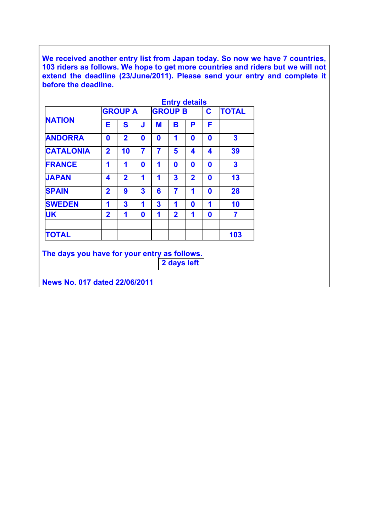**We received another entry list from Japan today. So now we have 7 countries, 103 riders as follows. We hope to get more countries and riders but we will not extend the deadline (23/June/2011). Please send your entry and complete it before the deadline.**

|                  | <b>Entry details</b>    |                |              |                |                |                |   |                         |
|------------------|-------------------------|----------------|--------------|----------------|----------------|----------------|---|-------------------------|
| <b>NATION</b>    | <b>GROUP A</b>          |                |              | <b>GROUP B</b> |                |                | C | <b>TOTAL</b>            |
|                  | E                       | S              | J            | M              | В              | Ρ              | F |                         |
| <b>ANDORRA</b>   | 0                       | $\overline{2}$ | 0            | O              | 1              | O              | O | 3                       |
| <b>CATALONIA</b> | $\overline{\mathbf{2}}$ | 10             | 7            | 7              | 5              | 4              | 4 | 39                      |
| <b>FRANCE</b>    | 1                       | 1              | $\mathbf{0}$ | 1              | O              | O              | ŋ | $\overline{\mathbf{3}}$ |
| <b>JAPAN</b>     | 4                       | $\overline{2}$ | 1            | 1              | 3              | $\overline{2}$ | ŋ | 13                      |
| <b>SPAIN</b>     | $\overline{\mathbf{2}}$ | 9              | 3            | 6              | 7              | 1              | O | 28                      |
| <b>SWEDEN</b>    | 1                       | 3              | 1            | 3              | 1              | 0              | 1 | 10                      |
| <b>UK</b>        | $\overline{2}$          | 1              | $\bf{0}$     | 1              | $\overline{2}$ | 1              | 0 | 7                       |
| <b>TOTAL</b>     |                         |                |              |                |                |                |   | 103                     |

**The days you have for your entry as follows. 2 days left**

**News No. 017 dated 22/06/2011**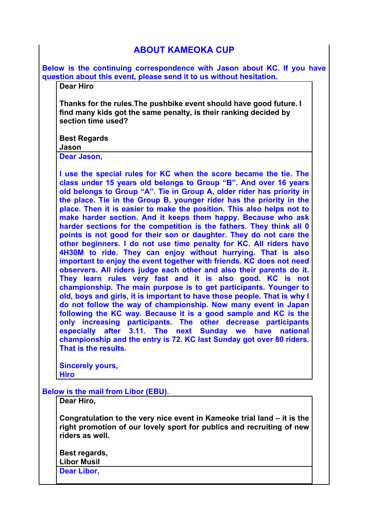## **ABOUT KAMEOKA CUP**

**Below is the continuing correspondence with Jason about KC. If you have question about this event, please send it to us without hesitation.**

**Dear Hiro**

**Thanks for the rules.The pushbike event should have good future. I find many kids got the same penalty, is their ranking decided by section time used?**

**Best Regards**

## **Jason**

**Dear Jason,**

**I use the special rules for KC when the score became the tie. The class under 15 years old belongs to Group "B". And over 16 years old belongs to Group "A". Tie in Group A, older rider has priority in the place. Tie in the Group B, younger rider has the priority in the place. Then it is easier to make the position. This also helps not to make harder section. And it keeps them happy. Because who ask harder sections for the competition is the fathers. They think all 0 points is not good for their son or daughter. They do not care the other beginners. I do not use time penalty for KC. All riders have 4H30M to ride. They can enjoy without hurrying. That is also important to enjoy the event together with friends. KC does not need observers. All riders judge each other and also their parents do it. They learn rules very fast and it is also good. KC is not championship. The main purpose is to get participants. Younger to old, boys and girls, it is important to have those people. That is why I do not follow the way of championship. Now many event in Japan following the KC way. Because it is a good sample and KC is the only increasing participants. The other decrease participants especially after 3.11. The next Sunday we have national championship and the entry is 72. KC last Sunday got over 80 riders. That is the results.** 

**Sincerely yours, Hiro**

**Below is the mail from Libor (EBU).** 

**Dear Hiro,**

**Congratulation to the very nice event in Kameoke trial land – it is the right promotion of our lovely sport for publics and recruiting of new riders as well.**

**Best regards, Libor Musil Dear Libor,**